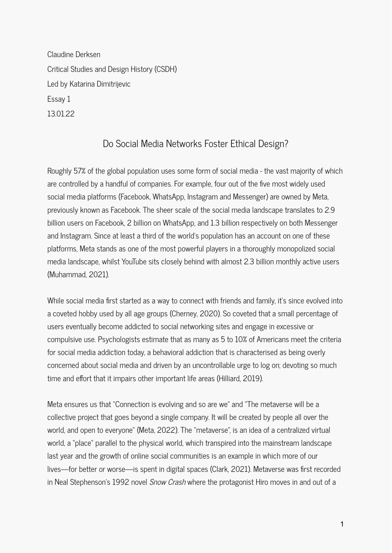Claudine Derksen Critical Studies and Design History (CSDH) Led by Katarina Dimitrijevic Essay 1 13.01.22

## Do Social Media Networks Foster Ethical Design?

Roughly 57% of the global population uses some form of social media - the vast majority of which are controlled by a handful of companies. For example, four out of the five most widely used social media platforms (Facebook, WhatsApp, Instagram and Messenger) are owned by Meta, previously known as Facebook. The sheer scale of the social media landscape translates to 2.9 billion users on Facebook, 2 billion on WhatsApp, and 1.3 billion respectively on both Messenger and Instagram. Since at least a third of the world's population has an account on one of these platforms, Meta stands as one of the most powerful players in a thoroughly monopolized social media landscape, whilst YouTube sits closely behind with almost 2.3 billion monthly active users (Muhammad, 2021).

While social media first started as a way to connect with friends and family, it's since evolved into a coveted hobby used by all age groups (Cherney, 2020). So coveted that a small percentage of users eventually become addicted to social networking sites and engage in excessive or compulsive use. Psychologists estimate that as many as 5 to 10% of Americans meet the criteria for social media addiction today, a behavioral addiction that is characterised as being overly concerned about social media and driven by an uncontrollable urge to log on; devoting so much time and effort that it impairs other important life areas (Hilliard, 2019).

Meta ensures us that "Connection is evolving and so are we" and "The metaverse will be a collective project that goes beyond a single company. It will be created by people all over the world, and open to everyone" (Meta, 2022). The "metaverse", is an idea of a centralized virtual world, a "place" parallel to the physical world, which transpired into the mainstream landscape last year and the growth of online social communities is an example in which more of our lives—for better or worse—is spent in digital spaces (Clark, 2021). Metaverse was first recorded in Neal Stephenson's 1992 novel Snow Crash where the protagonist Hiro moves in and out of a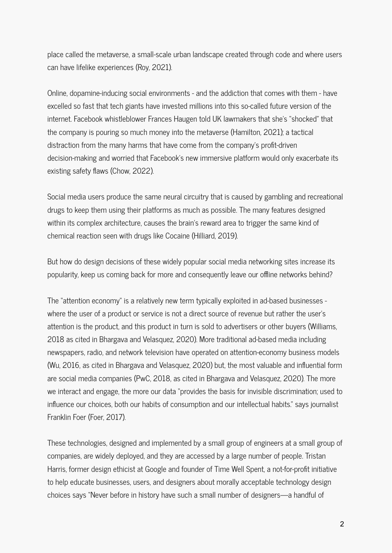place called the metaverse, a small-scale urban landscape created through code and where users can have lifelike experiences (Roy, 2021).

Online, dopamine-inducing social environments - and the addiction that comes with them - have excelled so fast that tech giants have invested millions into this so-called future version of the internet. Facebook whistleblower Frances Haugen told UK lawmakers that she's "shocked" that the company is pouring so much money into the metaverse (Hamilton, 2021); a tactical distraction from the many harms that have come from the company's profit-driven decision-making and worried that Facebook's new immersive platform would only exacerbate its existing safety flaws (Chow, 2022).

Social media users produce the same neural circuitry that is caused by gambling and recreational drugs to keep them using their platforms as much as possible. The many features designed within its complex architecture, causes the brain's reward area to trigger the same kind of chemical reaction seen with drugs like Cocaine (Hilliard, 2019).

But how do design decisions of these widely popular social media networking sites increase its popularity, keep us coming back for more and consequently leave our offline networks behind?

The "attention economy" is a relatively new term typically exploited in ad-based businesses where the user of a product or service is not a direct source of revenue but rather the user's attention is the product, and this product in turn is sold to advertisers or other buyers (Williams, 2018 as cited in Bhargava and Velasquez, 2020). More traditional ad-based media including newspapers, radio, and network television have operated on attention-economy business models (Wu, 2016, as cited in Bhargava and Velasquez, 2020) but, the most valuable and influential form are social media companies (PwC, 2018, as cited in Bhargava and Velasquez, 2020). The more we interact and engage, the more our data "provides the basis for invisible discrimination; used to influence our choices, both our habits of consumption and our intellectual habits." says journalist Franklin Foer (Foer, 2017).

These technologies, designed and implemented by a small group of engineers at a small group of companies, are widely deployed, and they are accessed by a large number of people. Tristan Harris, former design ethicist at Google and founder of Time Well Spent, a not-for-profit initiative to help educate businesses, users, and designers about morally acceptable technology design choices says "Never before in history have such a small number of designers—a handful of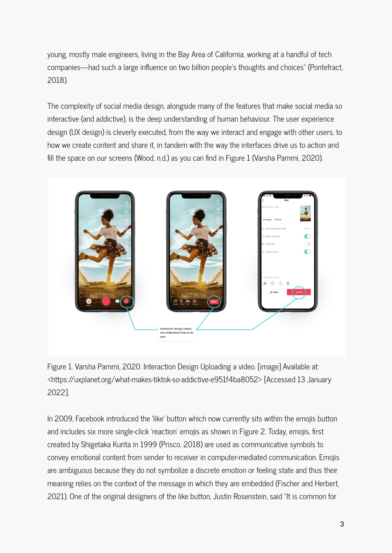young, mostly male engineers, living in the Bay Area of California, working at a handful of tech companies—had such a large influence on two billion people's thoughts and choices" (Pontefract, 2018).

The complexity of social media design, alongside many of the features that make social media so interactive (and addictive), is the deep understanding of human behaviour. The user experience design (UX design) is cleverly executed, from the way we interact and engage with other users, to how we create content and share it, in tandem with the way the interfaces drive us to action and fill the space on our screens (Wood, n.d.) as you can find in Figure 1 (Varsha Pammi, 2020).



Figure 1. Varsha Pammi, 2020. Interaction Design Uploading a video. [image] Available at: <https://uxplanet.org/what-makes-tiktok-so-addictive-e951f4ba8052> [Accessed 13 January 2022].

In 2009, Facebook introduced the 'like' button which now currently sits within the emojis button and includes six more single-click 'reaction' emojis as shown in Figure 2. Today, emojis, first created by Shigetaka Kurita in 1999 (Prisco, 2018) are used as communicative symbols to convey emotional content from sender to receiver in computer-mediated communication. Emojis are ambiguous because they do not symbolize a discrete emotion or feeling state and thus their meaning relies on the context of the message in which they are embedded (Fischer and Herbert, 2021). One of the original designers of the like button, Justin Rosenstein, said "It is common for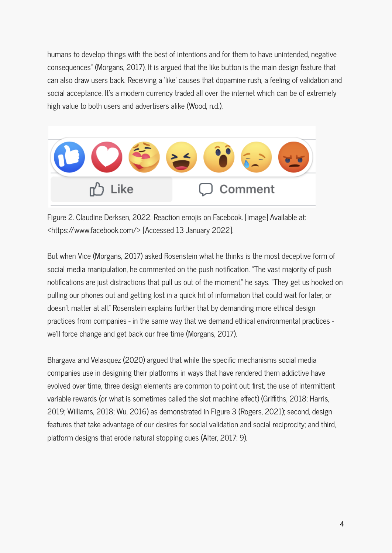humans to develop things with the best of intentions and for them to have unintended, negative consequences" (Morgans, 2017). It is argued that the like button is the main design feature that can also draw users back. Receiving a 'like' causes that dopamine rush, a feeling of validation and social acceptance. It's a modern currency traded all over the internet which can be of extremely high value to both users and advertisers alike (Wood, n.d.).



Figure 2. Claudine Derksen, 2022. Reaction emojis on Facebook. [image] Available at: <https://www.facebook.com/> [Accessed 13 January 2022].

But when Vice (Morgans, 2017) asked Rosenstein what he thinks is the most deceptive form of social media manipulation, he commented on the push notification. "The vast majority of push notifications are just distractions that pull us out of the moment," he says. "They get us hooked on pulling our phones out and getting lost in a quick hit of information that could wait for later, or doesn't matter at all." Rosenstein explains further that by demanding more ethical design practices from companies - in the same way that we demand ethical environmental practices we'll force change and get back our free time (Morgans, 2017).

Bhargava and Velasquez (2020) argued that while the specific mechanisms social media companies use in designing their platforms in ways that have rendered them addictive have evolved over time, three design elements are common to point out: first, the use of intermittent variable rewards (or what is sometimes called the slot machine effect) (Griffiths, 2018; Harris, 2019; Williams, 2018; Wu, 2016) as demonstrated in Figure 3 (Rogers, 2021); second, design features that take advantage of our desires for social validation and social reciprocity; and third, platform designs that erode natural stopping cues (Alter, 2017: 9).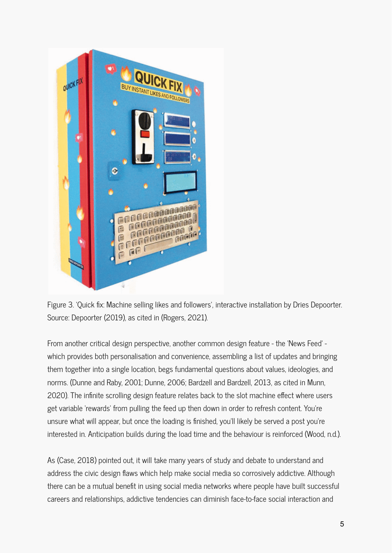

Figure 3. 'Quick fix: Machine selling likes and followers', interactive installation by Dries Depoorter. Source: Depoorter (2019), as cited in (Rogers, 2021).

From another critical design perspective, another common design feature - the 'News Feed' which provides both personalisation and convenience, assembling a list of updates and bringing them together into a single location, begs fundamental questions about values, ideologies, and norms. (Dunne and Raby, 2001; Dunne, 2006; Bardzell and Bardzell, 2013, as cited in Munn, 2020). The infinite scrolling design feature relates back to the slot machine effect where users get variable 'rewards' from pulling the feed up then down in order to refresh content. You're unsure what will appear, but once the loading is finished, you'll likely be served a post you're interested in. Anticipation builds during the load time and the behaviour is reinforced (Wood, n.d.).

As (Case, 2018) pointed out, it will take many years of study and debate to understand and address the civic design flaws which help make social media so corrosively addictive. Although there can be a mutual benefit in using social media networks where people have built successful careers and relationships, addictive tendencies can diminish face-to-face social interaction and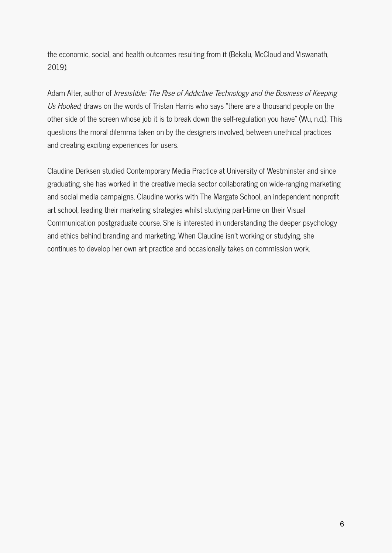the economic, social, and health outcomes resulting from it (Bekalu, McCloud and Viswanath, 2019).

Adam Alter, author of Irresistible: The Rise of Addictive Technology and the Business of Keeping Us Hooked, draws on the words of Tristan Harris who says "there are a thousand people on the other side of the screen whose job it is to break down the self-regulation you have" (Wu, n.d.). This questions the moral dilemma taken on by the designers involved, between unethical practices and creating exciting experiences for users.

Claudine Derksen studied Contemporary Media Practice at University of Westminster and since graduating, she has worked in the creative media sector collaborating on wide-ranging marketing and social media campaigns. Claudine works with The Margate School, an independent nonprofit art school, leading their marketing strategies whilst studying part-time on their Visual Communication postgraduate course. She is interested in understanding the deeper psychology and ethics behind branding and marketing. When Claudine isn't working or studying, she continues to develop her own art practice and occasionally takes on commission work.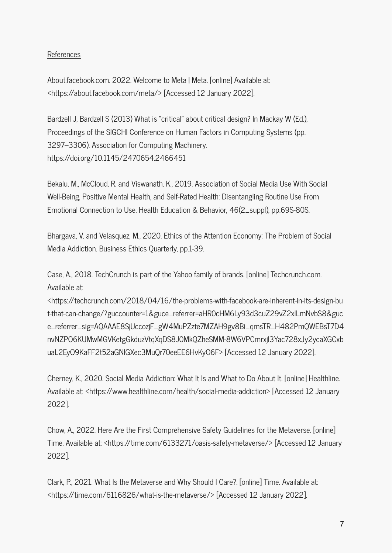## **References**

About.facebook.com. 2022. Welcome to Meta | Meta. [online] Available at: <https://about.facebook.com/meta/> [Accessed 12 January 2022].

Bardzell J, Bardzell S (2013) What is "critical" about critical design? In Mackay W (Ed.), Proceedings of the SIGCHI Conference on Human Factors in Computing Systems (pp. 3297–3306). Association for Computing Machinery. https://doi.org/10.1145/2470654.2466451

Bekalu, M., McCloud, R. and Viswanath, K., 2019. Association of Social Media Use With Social Well-Being, Positive Mental Health, and Self-Rated Health: Disentangling Routine Use From Emotional Connection to Use. Health Education & Behavior, 46(2\_suppl), pp.69S-80S.

Bhargava, V. and Velasquez, M., 2020. Ethics of the Attention Economy: The Problem of Social Media Addiction. Business Ethics Quarterly, pp.1-39.

Case, A., 2018. TechCrunch is part of the Yahoo family of brands. [online] Techcrunch.com. Available at:

<https://techcrunch.com/2018/04/16/the-problems-with-facebook-are-inherent-in-its-design-bu t-that-can-change/?guccounter=1&guce\_referrer=aHR0cHM6Ly93d3cuZ29vZ2xlLmNvbS8&guc e\_referrer\_sig=AQAAAE8SjUccozjF\_gW4MuPZzte7MZAH9gv8Bi\_qmsTR\_H482PmQWEBsT7D4 nvNZPO6KUMwMGVKetgGkduzVtqXqDS8J0MkQZheSMM-8W6VPCmrxjl3Yac728xJy2ycaXGCxb uaL2EyO9KaFF2t52aGNlGXec3MuQr70eeEE6HvKyO6F> [Accessed 12 January 2022].

Cherney, K., 2020. Social Media Addiction: What It Is and What to Do About It. [online] Healthline. Available at: <https://www.healthline.com/health/social-media-addiction> [Accessed 12 January 2022].

Chow, A., 2022. Here Are the First Comprehensive Safety Guidelines for the Metaverse. [online] Time. Available at: <https://time.com/6133271/oasis-safety-metaverse/> [Accessed 12 January 2022].

Clark, P., 2021. What Is the Metaverse and Why Should I Care?. [online] Time. Available at: <https://time.com/6116826/what-is-the-metaverse/> [Accessed 12 January 2022].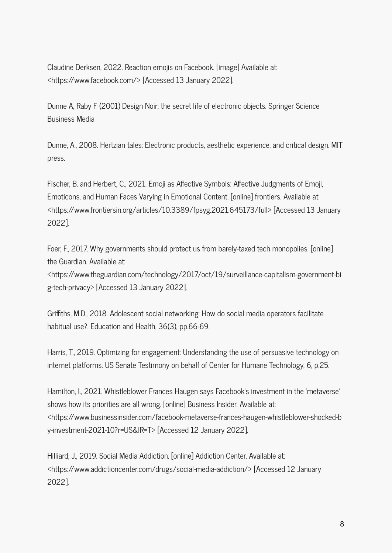Claudine Derksen, 2022. Reaction emojis on Facebook. [image] Available at: <https://www.facebook.com/> [Accessed 13 January 2022].

Dunne A, Raby F (2001) Design Noir: the secret life of electronic objects. Springer Science Business Media

Dunne, A., 2008. Hertzian tales: Electronic products, aesthetic experience, and critical design. MIT press.

Fischer, B. and Herbert, C., 2021. Emoji as Affective Symbols: Affective Judgments of Emoji, Emoticons, and Human Faces Varying in Emotional Content. [online] frontiers. Available at: <https://www.frontiersin.org/articles/10.3389/fpsyg.2021.645173/full> [Accessed 13 January 2022].

Foer, F., 2017. Why governments should protect us from barely-taxed tech monopolies. [online] the Guardian. Available at:

<https://www.theguardian.com/technology/2017/oct/19/surveillance-capitalism-government-bi g-tech-privacy> [Accessed 13 January 2022].

Griffiths, M.D., 2018. Adolescent social networking: How do social media operators facilitate habitual use?. Education and Health, 36(3), pp.66-69.

Harris, T., 2019. Optimizing for engagement: Understanding the use of persuasive technology on internet platforms. US Senate Testimony on behalf of Center for Humane Technology, 6, p.25.

Hamilton, I., 2021. Whistleblower Frances Haugen says Facebook's investment in the 'metaverse' shows how its priorities are all wrong. [online] Business Insider. Available at: <https://www.businessinsider.com/facebook-metaverse-frances-haugen-whistleblower-shocked-b y-investment-2021-10?r=US&IR=T> [Accessed 12 January 2022].

Hilliard, J., 2019. Social Media Addiction. [online] Addiction Center. Available at: <https://www.addictioncenter.com/drugs/social-media-addiction/> [Accessed 12 January 2022].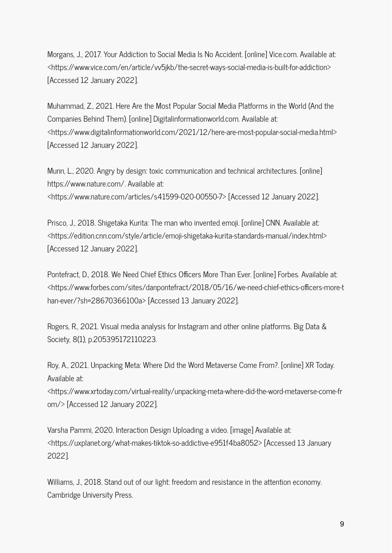Morgans, J., 2017. Your Addiction to Social Media Is No Accident. [online] Vice.com. Available at: <https://www.vice.com/en/article/vv5jkb/the-secret-ways-social-media-is-built-for-addiction> [Accessed 12 January 2022].

Muhammad, Z., 2021. Here Are the Most Popular Social Media Platforms in the World (And the Companies Behind Them). [online] Digitalinformationworld.com. Available at: <https://www.digitalinformationworld.com/2021/12/here-are-most-popular-social-media.html> [Accessed 12 January 2022].

Munn, L., 2020. Angry by design: toxic communication and technical architectures. [online] https://www.nature.com/. Available at: <https://www.nature.com/articles/s41599-020-00550-7> [Accessed 12 January 2022].

Prisco, J., 2018. Shigetaka Kurita: The man who invented emoji. [online] CNN. Available at: <https://edition.cnn.com/style/article/emoji-shigetaka-kurita-standards-manual/index.html> [Accessed 12 January 2022].

Pontefract, D., 2018. We Need Chief Ethics Officers More Than Ever. [online] Forbes. Available at: <https://www.forbes.com/sites/danpontefract/2018/05/16/we-need-chief-ethics-officers-more-t han-ever/?sh=28670366100a> [Accessed 13 January 2022].

Rogers, R., 2021. Visual media analysis for Instagram and other online platforms. Big Data & Society, 8(1), p.205395172110223.

Roy, A., 2021. Unpacking Meta: Where Did the Word Metaverse Come From?. [online] XR Today. Available at:

<https://www.xrtoday.com/virtual-reality/unpacking-meta-where-did-the-word-metaverse-come-fr om/> [Accessed 12 January 2022].

Varsha Pammi, 2020. Interaction Design Uploading a video. [image] Available at: <https://uxplanet.org/what-makes-tiktok-so-addictive-e951f4ba8052> [Accessed 13 January 2022].

Williams, J., 2018. Stand out of our light: freedom and resistance in the attention economy. Cambridge University Press.